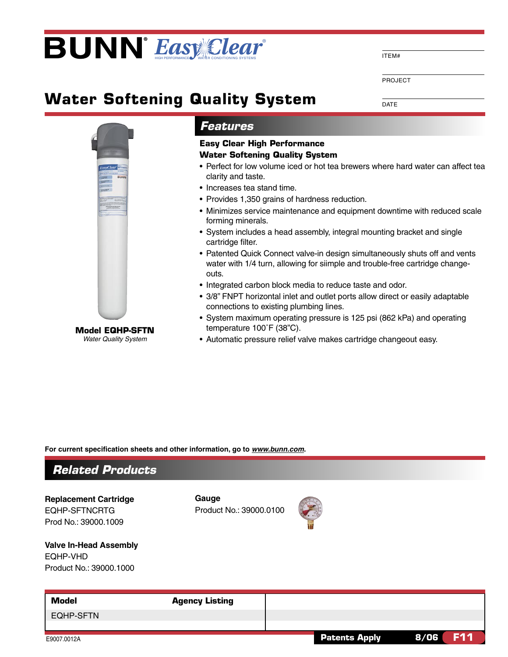## **BUNN** Easy Clear

**Water Softening Quality System** 

**DATE** 

PROJECT

ITEM#



## **Features**

## **Easy Clear High Performance Water Softening Quality System**

- Perfect for low volume iced or hot tea brewers where hard water can affect tea clarity and taste.
- Increases tea stand time.
- Provides 1,350 grains of hardness reduction.
- Minimizes service maintenance and equipment downtime with reduced scale forming minerals.
- System includes a head assembly, integral mounting bracket and single cartridge filter.
- Patented Quick Connect valve-in design simultaneously shuts off and vents water with 1/4 turn, allowing for siimple and trouble-free cartridge changeouts.
- Integrated carbon block media to reduce taste and odor.
- 3/8" FNPT horizontal inlet and outlet ports allow direct or easily adaptable connections to existing plumbing lines.
- System maximum operating pressure is 125 psi (862 kPa) and operating temperature 100°F (38"C).
- Automatic pressure relief valve makes cartridge changeout easy.

For current specification sheets and other information, go to www.bunn.com.



**Replacement Cartridge EQHP-SFTNCRTG** Prod No.: 39000.1009

**Valve In-Head Assembly** 

Product No.: 39000.1000

Gauge Product No.: 39000.0100



**Model Agency Listing EQHP-SFTN Patents Apply**  $8/06$ **F11** 

**Model EQHP-SFTN Water Quality System** 

**EQHP-VHD**